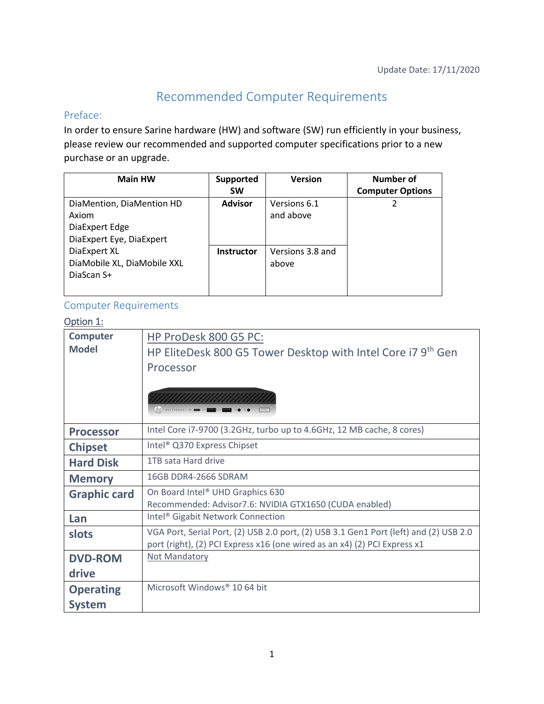# Recommended Computer Requirements

#### Preface:

In order to ensure Sarine hardware (HW) and software (SW) run efficiently in your business, please review our recommended and supported computer specifications prior to a new purchase or an upgrade.

| <b>Main HW</b>                                                                   | <b>Supported</b><br><b>SW</b> | <b>Version</b>            | Number of<br><b>Computer Options</b> |
|----------------------------------------------------------------------------------|-------------------------------|---------------------------|--------------------------------------|
| DiaMention, DiaMention HD<br>Axiom<br>DiaExpert Edge<br>DiaExpert Eye, DiaExpert | <b>Advisor</b>                | Versions 6.1<br>and above |                                      |
| DiaExpert XL<br>DiaMobile XL, DiaMobile XXL<br>DiaScan S+                        | Instructor                    | Versions 3.8 and<br>above |                                      |

## Computer Requirements

### Option 1:

| <b>Computer</b>     | HP ProDesk 800 G5 PC:                                                                 |  |
|---------------------|---------------------------------------------------------------------------------------|--|
| <b>Model</b>        | HP EliteDesk 800 G5 Tower Desktop with Intel Core i7 9th Gen                          |  |
|                     | Processor                                                                             |  |
|                     |                                                                                       |  |
|                     | $(10)$ ELITEDESK $\sim$                                                               |  |
| <b>Processor</b>    | Intel Core i7-9700 (3.2GHz, turbo up to 4.6GHz, 12 MB cache, 8 cores)                 |  |
| <b>Chipset</b>      | Intel <sup>®</sup> Q370 Express Chipset                                               |  |
| <b>Hard Disk</b>    | 1TB sata Hard drive                                                                   |  |
| <b>Memory</b>       | 16GB DDR4-2666 SDRAM                                                                  |  |
| <b>Graphic card</b> | On Board Intel® UHD Graphics 630                                                      |  |
|                     | Recommended: Advisor7.6: NVIDIA GTX1650 (CUDA enabled)                                |  |
| Lan                 | Intel <sup>®</sup> Gigabit Network Connection                                         |  |
| slots               | VGA Port, Serial Port, (2) USB 2.0 port, (2) USB 3.1 Gen1 Port (left) and (2) USB 2.0 |  |
|                     | port (right), (2) PCI Express x16 (one wired as an x4) (2) PCI Express x1             |  |
| <b>DVD-ROM</b>      | <b>Not Mandatory</b>                                                                  |  |
| drive               |                                                                                       |  |
| <b>Operating</b>    | Microsoft Windows® 10 64 bit                                                          |  |
| <b>System</b>       |                                                                                       |  |